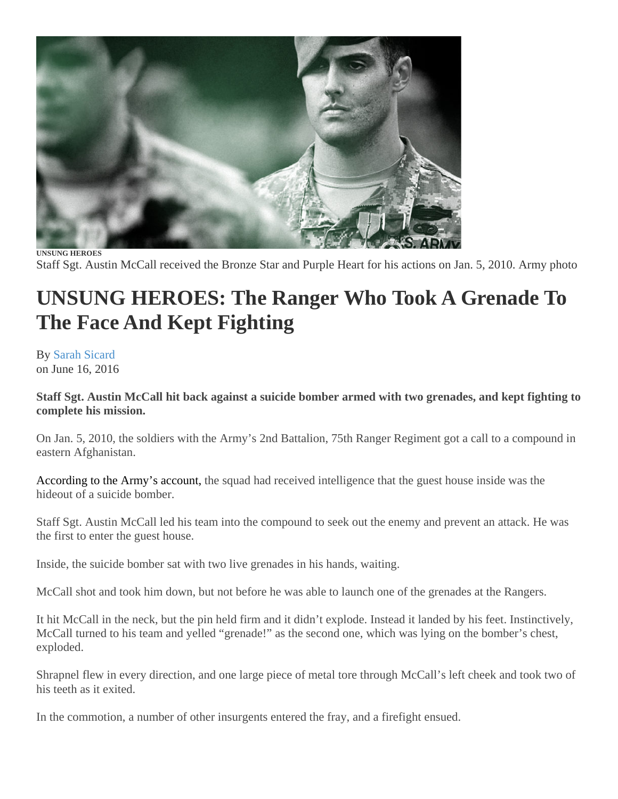

**UNSUNG HEROES**  Staff Sgt. Austin McCall received the Bronze Star and Purple Heart for his actions on Jan. 5, 2010. Army photo

## **UNSUNG HEROES: The Ranger Who Took A Grenade To The Face And Kept Fighting**

By [Sarah Sicard](http://taskandpurpose.com/author/sarah-sicard/) on June 16, 2016

**Staff Sgt. Austin McCall hit back against a suicide bomber armed with two grenades, and kept fighting to complete his mission.** 

On Jan. 5, 2010, the soldiers with the Army's 2nd Battalion, 75th Ranger Regiment got a call to a compound in eastern Afghanistan.

[According to the Army's account,](https://www.army.mil/article/41107/Rangers_receive_medals_for_combat_valor/) the squad had received intelligence that the guest house inside was the hideout of a suicide bomber.

Staff Sgt. Austin McCall led his team into the compound to seek out the enemy and prevent an attack. He was the first to enter the guest house.

Inside, the suicide bomber sat with two live grenades in his hands, waiting.

McCall shot and took him down, but not before he was able to launch one of the grenades at the Rangers.

It hit McCall in the neck, but the pin held firm and it didn't explode. Instead it landed by his feet. Instinctively, McCall turned to his team and yelled "grenade!" as the second one, which was lying on the bomber's chest, exploded.

Shrapnel flew in every direction, and one large piece of metal tore through McCall's left cheek and took two of his teeth as it exited.

In the commotion, a number of other insurgents entered the fray, and a firefight ensued.